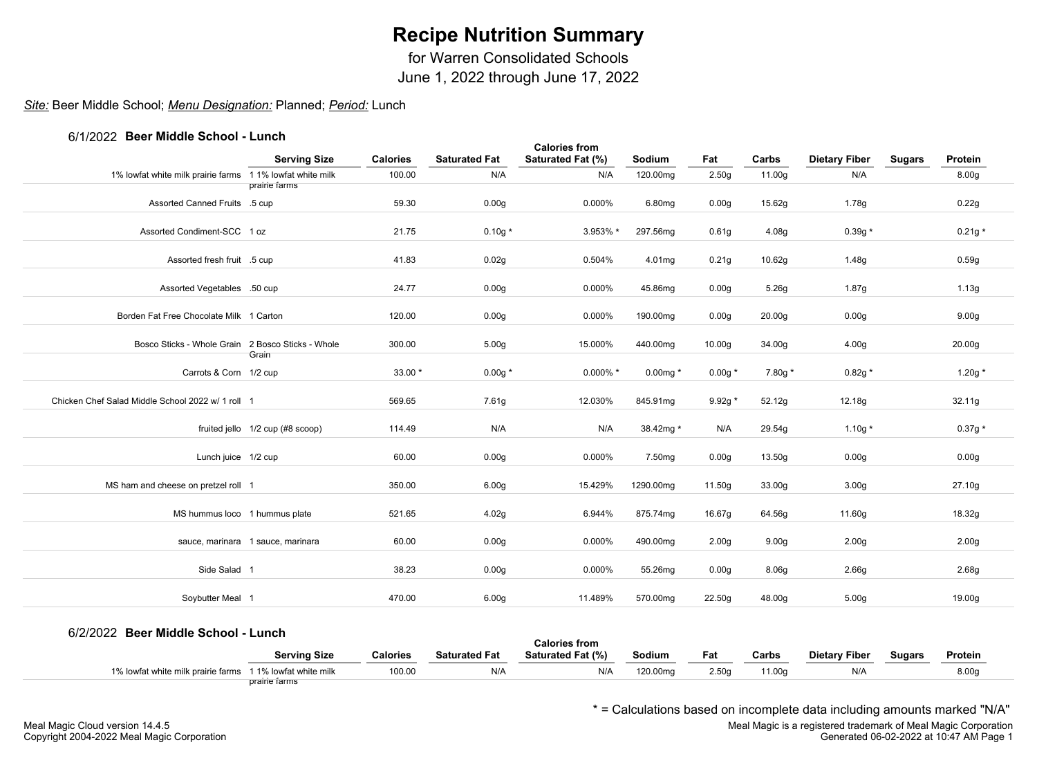for Warren Consolidated Schools

June 1, 2022 through June 17, 2022

## *Site:* Beer Middle School; *Menu Designation:* Planned; *Period:* Lunch

### 6/1/2022 **Beer Middle School - Lunch**

|                                                          | <b>Serving Size</b>               | <b>Calories</b> | <b>Saturated Fat</b> | <b>Calories from</b><br>Saturated Fat (%) | Sodium      | Fat               | Carbs              | <b>Dietary Fiber</b> | <b>Sugars</b> | Protein           |  |
|----------------------------------------------------------|-----------------------------------|-----------------|----------------------|-------------------------------------------|-------------|-------------------|--------------------|----------------------|---------------|-------------------|--|
| 1% lowfat white milk prairie farms 11% lowfat white milk |                                   | 100.00          | N/A                  | N/A                                       | 120.00mg    | 2.50 <sub>g</sub> | 11.00g             | N/A                  |               | 8.00 <sub>g</sub> |  |
|                                                          | prairie farms                     |                 |                      |                                           |             |                   |                    |                      |               |                   |  |
| Assorted Canned Fruits .5 cup                            |                                   | 59.30           | 0.00g                | 0.000%                                    | 6.80mg      | 0.00 <sub>g</sub> | 15.62g             | 1.78g                |               | 0.22g             |  |
| Assorted Condiment-SCC 1 oz                              |                                   | 21.75           | $0.10g*$             | 3.953% *                                  | 297.56mg    | 0.61 <sub>g</sub> | 4.08g              | $0.39g*$             |               | $0.21g*$          |  |
| Assorted fresh fruit .5 cup                              |                                   | 41.83           | 0.02g                | 0.504%                                    | 4.01mg      | 0.21g             | 10.62g             | 1.48g                |               | 0.59g             |  |
| Assorted Vegetables .50 cup                              |                                   | 24.77           | 0.00 <sub>g</sub>    | 0.000%                                    | 45.86mg     | 0.00 <sub>g</sub> | 5.26g              | 1.87g                |               | 1.13g             |  |
| Borden Fat Free Chocolate Milk 1 Carton                  |                                   | 120.00          | 0.00 <sub>g</sub>    | 0.000%                                    | 190.00mg    | 0.00 <sub>g</sub> | 20.00 <sub>g</sub> | 0.00 <sub>g</sub>    |               | 9.00 <sub>g</sub> |  |
| Bosco Sticks - Whole Grain 2 Bosco Sticks - Whole        | Grain                             | 300.00          | 5.00 <sub>g</sub>    | 15.000%                                   | 440.00mg    | 10.00g            | 34.00g             | 4.00 <sub>g</sub>    |               | 20.00g            |  |
| Carrots & Corn 1/2 cup                                   |                                   | $33.00*$        | $0.00g*$             | $0.000\%$ *                               | $0.00$ mg * | $0.00g *$         | 7.80g *            | $0.82g *$            |               | $1.20g*$          |  |
| Chicken Chef Salad Middle School 2022 w/ 1 roll 1        |                                   | 569.65          | 7.61g                | 12.030%                                   | 845.91mg    | $9.92g *$         | 52.12g             | 12.18g               |               | 32.11g            |  |
|                                                          | fruited jello 1/2 cup (#8 scoop)  | 114.49          | N/A                  | N/A                                       | 38.42mg *   | N/A               | 29.54g             | 1.10g $*$            |               | $0.37g*$          |  |
| Lunch juice 1/2 cup                                      |                                   | 60.00           | 0.00 <sub>g</sub>    | 0.000%                                    | 7.50mg      | 0.00 <sub>g</sub> | 13.50g             | 0.00 <sub>g</sub>    |               | 0.00 <sub>g</sub> |  |
| MS ham and cheese on pretzel roll 1                      |                                   | 350.00          | 6.00 <sub>g</sub>    | 15.429%                                   | 1290.00mg   | 11.50g            | 33.00g             | 3.00 <sub>g</sub>    |               | 27.10g            |  |
| MS hummus loco 1 hummus plate                            |                                   | 521.65          | 4.02g                | 6.944%                                    | 875.74mg    | 16.67g            | 64.56g             | 11.60g               |               | 18.32g            |  |
|                                                          | sauce, marinara 1 sauce, marinara | 60.00           | 0.00 <sub>g</sub>    | 0.000%                                    | 490.00mg    | 2.00 <sub>g</sub> | 9.00 <sub>g</sub>  | 2.00 <sub>g</sub>    |               | 2.00 <sub>g</sub> |  |
| Side Salad 1                                             |                                   | 38.23           | 0.00 <sub>g</sub>    | 0.000%                                    | 55.26mg     | 0.00 <sub>g</sub> | 8.06g              | 2.66g                |               | 2.68g             |  |
| Soybutter Meal 1                                         |                                   | 470.00          | 6.00 <sub>g</sub>    | 11.489%                                   | 570.00mg    | 22.50g            | 48.00g             | 5.00 <sub>g</sub>    |               | 19.00g            |  |
|                                                          |                                   |                 |                      |                                           |             |                   |                    |                      |               |                   |  |

### 6/2/2022 **Beer Middle School - Lunch**

| <u>UZZUZZ DUUT MIUUIU OCHOOI - LUHCH</u><br><b>Calories from</b> |                     |                 |                      |                   |          |       |        |                      |               |         |  |  |  |  |
|------------------------------------------------------------------|---------------------|-----------------|----------------------|-------------------|----------|-------|--------|----------------------|---------------|---------|--|--|--|--|
|                                                                  | <b>Serving Size</b> | <b>Calories</b> | <b>Saturated Fat</b> | Saturated Fat (%) | Sodium   | Fat   | Carbs  | <b>Dietary Fiber</b> | <b>Sugars</b> | Protein |  |  |  |  |
| 1% lowfat white milk prairie farms 11% lowfat white milk         |                     | 100.00          | N/A                  | N/A               | 120.00mg | 2.50q | 11.00a | N/A                  |               | 8.00g   |  |  |  |  |
|                                                                  | prairie farms       |                 |                      |                   |          |       |        |                      |               |         |  |  |  |  |

\* = Calculations based on incomplete data including amounts marked "N/A"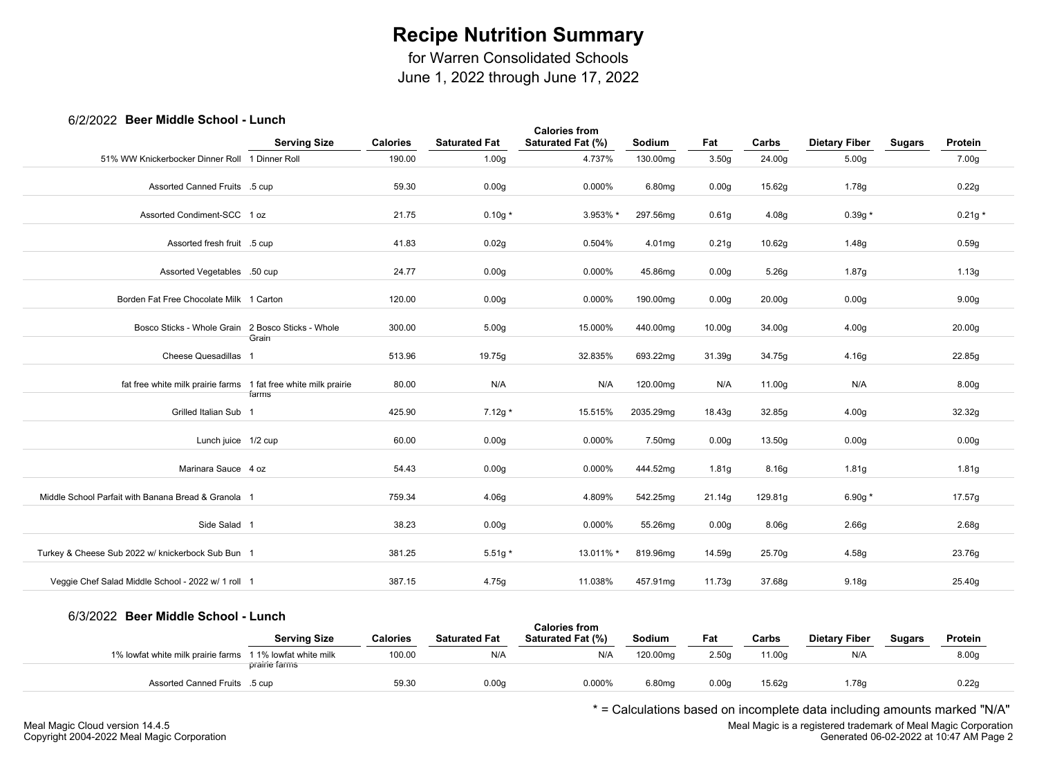for Warren Consolidated Schools

June 1, 2022 through June 17, 2022

## 6/2/2022 **Beer Middle School - Lunch**

|                                                                 |                     |                 |                      | <b>Calories from</b> |                    |                    |         |                      |               |                    |  |
|-----------------------------------------------------------------|---------------------|-----------------|----------------------|----------------------|--------------------|--------------------|---------|----------------------|---------------|--------------------|--|
|                                                                 | <b>Serving Size</b> | <b>Calories</b> | <b>Saturated Fat</b> | Saturated Fat (%)    | Sodium             | Fat                | Carbs   | <b>Dietary Fiber</b> | <b>Sugars</b> | Protein            |  |
| 51% WW Knickerbocker Dinner Roll 1 Dinner Roll                  |                     | 190.00          | 1.00 <sub>g</sub>    | 4.737%               | 130.00mg           | 3.50 <sub>g</sub>  | 24.00g  | 5.00 <sub>g</sub>    |               | 7.00g              |  |
|                                                                 |                     |                 |                      |                      |                    |                    |         |                      |               |                    |  |
| Assorted Canned Fruits .5 cup                                   |                     | 59.30           | 0.00 <sub>g</sub>    | 0.000%               | 6.80mg             | 0.00 <sub>g</sub>  | 15.62g  | 1.78g                |               | 0.22g              |  |
| Assorted Condiment-SCC 1 oz                                     |                     | 21.75           | $0.10g*$             | 3.953% *             | 297.56mg           | 0.61 <sub>g</sub>  | 4.08g   | $0.39g *$            |               | $0.21g *$          |  |
| Assorted fresh fruit .5 cup                                     |                     | 41.83           | 0.02g                | 0.504%               | 4.01mg             | 0.21 <sub>g</sub>  | 10.62g  | 1.48g                |               | 0.59g              |  |
| Assorted Vegetables .50 cup                                     |                     | 24.77           | 0.00 <sub>g</sub>    | 0.000%               | 45.86mg            | 0.00 <sub>g</sub>  | 5.26g   | 1.87g                |               | 1.13g              |  |
| Borden Fat Free Chocolate Milk 1 Carton                         |                     | 120.00          | 0.00 <sub>g</sub>    | 0.000%               | 190.00mg           | 0.00 <sub>g</sub>  | 20.00g  | 0.00 <sub>g</sub>    |               | 9.00 <sub>g</sub>  |  |
| Bosco Sticks - Whole Grain 2 Bosco Sticks - Whole               |                     | 300.00          | 5.00 <sub>g</sub>    | 15.000%              | 440.00mg           | 10.00 <sub>g</sub> | 34.00g  | 4.00 <sub>g</sub>    |               | 20.00 <sub>g</sub> |  |
| Cheese Quesadillas 1                                            | Grain               | 513.96          | 19.75g               | 32.835%              | 693.22mg           | 31.39g             | 34.75g  | 4.16g                |               | 22.85g             |  |
| fat free white milk prairie farms 1 fat free white milk prairie |                     | 80.00           | N/A                  | N/A                  | 120.00mg           | N/A                | 11.00g  | N/A                  |               | 8.00g              |  |
| Grilled Italian Sub 1                                           | farms               | 425.90          | $7.12g*$             | 15.515%              | 2035.29mg          | 18.43g             | 32.85g  | 4.00 <sub>g</sub>    |               | 32.32g             |  |
| Lunch juice 1/2 cup                                             |                     | 60.00           | 0.00 <sub>g</sub>    | 0.000%               | 7.50 <sub>mg</sub> | 0.00 <sub>g</sub>  | 13.50g  | 0.00 <sub>g</sub>    |               | 0.00 <sub>g</sub>  |  |
| Marinara Sauce 4 oz                                             |                     | 54.43           | 0.00 <sub>g</sub>    | 0.000%               | 444.52mg           | 1.81 <sub>g</sub>  | 8.16g   | 1.81 <sub>g</sub>    |               | 1.81g              |  |
| Middle School Parfait with Banana Bread & Granola 1             |                     | 759.34          | 4.06g                | 4.809%               | 542.25mg           | 21.14g             | 129.81g | 6.90g $*$            |               | 17.57g             |  |
| Side Salad 1                                                    |                     | 38.23           | 0.00 <sub>g</sub>    | 0.000%               | 55.26mg            | 0.00 <sub>g</sub>  | 8.06g   | 2.66 <sub>g</sub>    |               | 2.68g              |  |
| Turkey & Cheese Sub 2022 w/ knickerbock Sub Bun 1               |                     | 381.25          | $5.51g*$             | 13.011% *            | 819.96mg           | 14.59g             | 25.70g  | 4.58g                |               | 23.76g             |  |
| Veggie Chef Salad Middle School - 2022 w/ 1 roll 1              |                     | 387.15          | 4.75g                | 11.038%              | 457.91mg           | 11.73g             | 37.68g  | 9.18g                |               | 25.40g             |  |

### 6/3/2022 **Beer Middle School - Lunch**

| <i>UNILULL</i> DUUI MIUUNG UUNUU I                        | - Luivii            |                 |                      | <b>Calories from</b>     |          |       |        |                      |               |                   |  |
|-----------------------------------------------------------|---------------------|-----------------|----------------------|--------------------------|----------|-------|--------|----------------------|---------------|-------------------|--|
|                                                           | <b>Serving Size</b> | <b>Calories</b> | <b>Saturated Fat</b> | <b>Saturated Fat (%)</b> | Sodium   | Fat   | Carbs  | <b>Dietary Fiber</b> | <b>Sugars</b> | Protein           |  |
| 1% lowfat white milk prairie farms 1 1% lowfat white milk | prairie farms       | 100.00          | N/A                  | N/A                      | 120.00mg | 2.50c | 11.00a | N/A                  |               | 8.00 <sub>g</sub> |  |
| Assorted Canned Fruits .5 cup                             |                     | 59.30           | 0.00q                | 0.000%                   | 6.80mg   | 0.00q | 15.62g | .78q                 |               | 0.22q             |  |
|                                                           |                     |                 |                      |                          |          |       |        |                      |               |                   |  |

\* = Calculations based on incomplete data including amounts marked "N/A"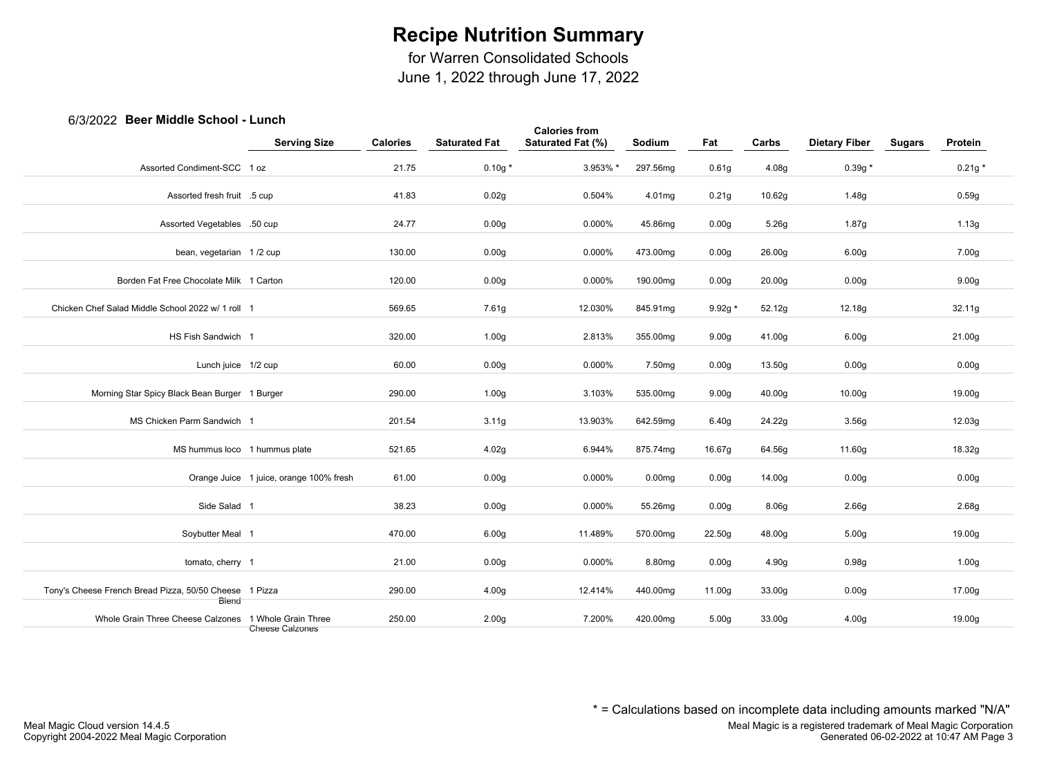for Warren Consolidated Schools

June 1, 2022 through June 17, 2022

## 6/3/2022 **Beer Middle School - Lunch**

| <b>PASE INTRAIR ANTIANI</b>                            |                                               |                 |                      | <b>Calories from</b> |                    |                   |        |                      |               |                   |
|--------------------------------------------------------|-----------------------------------------------|-----------------|----------------------|----------------------|--------------------|-------------------|--------|----------------------|---------------|-------------------|
|                                                        | <b>Serving Size</b>                           | <b>Calories</b> | <b>Saturated Fat</b> | Saturated Fat (%)    | Sodium             | Fat               | Carbs  | <b>Dietary Fiber</b> | <b>Sugars</b> | Protein           |
| Assorted Condiment-SCC 1 oz                            |                                               | 21.75           | $0.10g*$             | 3.953% *             | 297.56mg           | 0.61 <sub>g</sub> | 4.08g  | $0.39g *$            |               | $0.21g *$         |
| Assorted fresh fruit .5 cup                            |                                               | 41.83           | 0.02g                | 0.504%               | 4.01mg             | 0.21 <sub>g</sub> | 10.62g | 1.48g                |               | 0.59g             |
| Assorted Vegetables .50 cup                            |                                               | 24.77           | 0.00g                | 0.000%               | 45.86mg            | 0.00 <sub>g</sub> | 5.26g  | 1.87g                |               | 1.13g             |
| bean, vegetarian 1/2 cup                               |                                               | 130.00          | 0.00 <sub>g</sub>    | 0.000%               | 473.00mg           | 0.00 <sub>g</sub> | 26.00g | 6.00 <sub>g</sub>    |               | 7.00g             |
| Borden Fat Free Chocolate Milk 1 Carton                |                                               | 120.00          | 0.00 <sub>g</sub>    | 0.000%               | 190.00mg           | 0.00 <sub>g</sub> | 20.00g | 0.00g                |               | 9.00 <sub>g</sub> |
| Chicken Chef Salad Middle School 2022 w/ 1 roll 1      |                                               | 569.65          | 7.61g                | 12.030%              | 845.91mg           | $9.92g *$         | 52.12g | 12.18g               |               | 32.11g            |
| HS Fish Sandwich 1                                     |                                               | 320.00          | 1.00 <sub>g</sub>    | 2.813%               | 355.00mg           | 9.00 <sub>g</sub> | 41.00g | 6.00 <sub>g</sub>    |               | 21.00g            |
| Lunch juice 1/2 cup                                    |                                               | 60.00           | 0.00 <sub>g</sub>    | 0.000%               | 7.50mg             | 0.00 <sub>g</sub> | 13.50g | 0.00 <sub>g</sub>    |               | 0.00g             |
| Morning Star Spicy Black Bean Burger 1 Burger          |                                               | 290.00          | 1.00 <sub>g</sub>    | 3.103%               | 535.00mg           | 9.00 <sub>g</sub> | 40.00g | 10.00g               |               | 19.00g            |
| MS Chicken Parm Sandwich 1                             |                                               | 201.54          | 3.11g                | 13.903%              | 642.59mg           | 6.40g             | 24.22g | 3.56g                |               | 12.03g            |
| MS hummus loco 1 hummus plate                          |                                               | 521.65          | 4.02g                | 6.944%               | 875.74mg           | 16.67g            | 64.56g | 11.60g               |               | 18.32g            |
|                                                        | Orange Juice 1 juice, orange 100% fresh       | 61.00           | 0.00 <sub>g</sub>    | 0.000%               | 0.00 <sub>mg</sub> | 0.00 <sub>g</sub> | 14.00g | 0.00 <sub>g</sub>    |               | 0.00 <sub>g</sub> |
| Side Salad 1                                           |                                               | 38.23           | 0.00 <sub>g</sub>    | 0.000%               | 55.26mg            | 0.00 <sub>g</sub> | 8.06g  | 2.66g                |               | 2.68g             |
| Soybutter Meal 1                                       |                                               | 470.00          | 6.00 <sub>g</sub>    | 11.489%              | 570.00mg           | 22.50g            | 48.00g | 5.00 <sub>g</sub>    |               | 19.00g            |
| tomato, cherry 1                                       |                                               | 21.00           | 0.00 <sub>g</sub>    | 0.000%               | 8.80mg             | 0.00 <sub>g</sub> | 4.90g  | 0.98g                |               | 1.00 <sub>g</sub> |
| Tony's Cheese French Bread Pizza, 50/50 Cheese 1 Pizza |                                               | 290.00          | 4.00 <sub>g</sub>    | 12.414%              | 440.00mg           | 11.00g            | 33.00g | 0.00 <sub>g</sub>    |               | 17.00g            |
| Biend<br>Whole Grain Three Cheese Calzones             |                                               |                 |                      | 7.200%               |                    |                   |        |                      |               |                   |
|                                                        | 1 Whole Grain Three<br><b>Cheese Caizones</b> | 250.00          | 2.00 <sub>g</sub>    |                      | 420.00mg           | 5.00 <sub>g</sub> | 33.00g | 4.00 <sub>g</sub>    |               | 19.00g            |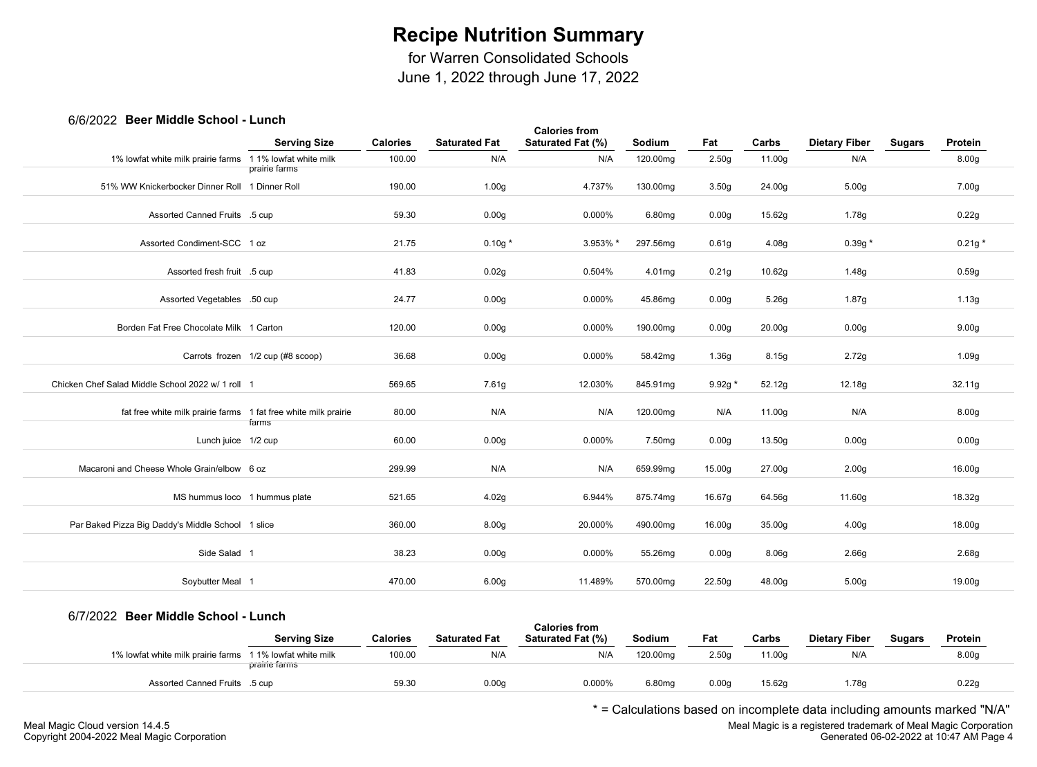for Warren Consolidated Schools

June 1, 2022 through June 17, 2022

## 6/6/2022 **Beer Middle School - Lunch**

|                                                                 |                                   |                 |                      | <b>Calories from</b> |          |                   |        |                      |               |                   |
|-----------------------------------------------------------------|-----------------------------------|-----------------|----------------------|----------------------|----------|-------------------|--------|----------------------|---------------|-------------------|
|                                                                 | <b>Serving Size</b>               | <b>Calories</b> | <b>Saturated Fat</b> | Saturated Fat (%)    | Sodium   | Fat               | Carbs  | <b>Dietary Fiber</b> | <b>Sugars</b> | Protein           |
| 1% lowfat white milk prairie farms 11% lowfat white milk        |                                   | 100.00          | N/A                  | N/A                  | 120.00mg | 2.50 <sub>g</sub> | 11.00g | N/A                  |               | 8.00 <sub>g</sub> |
|                                                                 | prairie farms                     |                 |                      |                      |          |                   |        |                      |               |                   |
| 51% WW Knickerbocker Dinner Roll 1 Dinner Roll                  |                                   | 190.00          | 1.00 <sub>g</sub>    | 4.737%               | 130.00mg | 3.50 <sub>g</sub> | 24.00g | 5.00 <sub>g</sub>    |               | 7.00g             |
| Assorted Canned Fruits .5 cup                                   |                                   | 59.30           | 0.00 <sub>g</sub>    | 0.000%               | 6.80mg   | 0.00 <sub>g</sub> | 15.62g | 1.78g                |               | 0.22g             |
| Assorted Condiment-SCC 1 oz                                     |                                   | 21.75           | $0.10g*$             | 3.953% *             | 297.56mg | 0.61g             | 4.08g  | $0.39g *$            |               | $0.21g *$         |
| Assorted fresh fruit .5 cup                                     |                                   | 41.83           | 0.02g                | 0.504%               | 4.01mg   | 0.21g             | 10.62g | 1.48g                |               | 0.59g             |
| Assorted Vegetables .50 cup                                     |                                   | 24.77           | 0.00 <sub>g</sub>    | 0.000%               | 45.86mg  | 0.00 <sub>g</sub> | 5.26g  | 1.87g                |               | 1.13g             |
| Borden Fat Free Chocolate Milk 1 Carton                         |                                   | 120.00          | 0.00 <sub>g</sub>    | 0.000%               | 190.00mg | 0.00 <sub>g</sub> | 20.00g | 0.00 <sub>g</sub>    |               | 9.00 <sub>g</sub> |
|                                                                 | Carrots frozen 1/2 cup (#8 scoop) | 36.68           | 0.00 <sub>g</sub>    | 0.000%               | 58.42mg  | 1.36g             | 8.15g  | 2.72g                |               | 1.09g             |
| Chicken Chef Salad Middle School 2022 w/ 1 roll 1               |                                   | 569.65          | 7.61g                | 12.030%              | 845.91mg | $9.92g *$         | 52.12g | 12.18g               |               | 32.11g            |
| fat free white milk prairie farms 1 fat free white milk prairie | farms                             | 80.00           | N/A                  | N/A                  | 120.00mg | N/A               | 11.00g | N/A                  |               | 8.00 <sub>g</sub> |
| Lunch juice 1/2 cup                                             |                                   | 60.00           | 0.00 <sub>g</sub>    | 0.000%               | 7.50mg   | 0.00 <sub>g</sub> | 13.50g | 0.00 <sub>g</sub>    |               | 0.00 <sub>g</sub> |
| Macaroni and Cheese Whole Grain/elbow 6 oz                      |                                   | 299.99          | N/A                  | N/A                  | 659.99mg | 15.00g            | 27.00g | 2.00 <sub>g</sub>    |               | 16.00g            |
| MS hummus loco 1 hummus plate                                   |                                   | 521.65          | 4.02g                | 6.944%               | 875.74mg | 16.67g            | 64.56g | 11.60g               |               | 18.32g            |
| Par Baked Pizza Big Daddy's Middle School 1 slice               |                                   | 360.00          | 8.00 <sub>g</sub>    | 20.000%              | 490.00mg | 16.00g            | 35.00g | 4.00 <sub>g</sub>    |               | 18.00g            |
| Side Salad 1                                                    |                                   | 38.23           | 0.00 <sub>g</sub>    | 0.000%               | 55.26mg  | 0.00 <sub>g</sub> | 8.06g  | 2.66g                |               | 2.68g             |
| Soybutter Meal 1                                                |                                   | 470.00          | 6.00 <sub>g</sub>    | 11.489%              | 570.00mg | 22.50g            | 48.00g | 5.00 <sub>g</sub>    |               | 19.00g            |

### 6/7/2022 **Beer Middle School - Lunch**

| <b>ULLEVEL DUULINIUGU UULLUUL</b>                         | .                   |                 |                      | <b>Calories from</b>     |               |       |        |                      |               |                   |  |
|-----------------------------------------------------------|---------------------|-----------------|----------------------|--------------------------|---------------|-------|--------|----------------------|---------------|-------------------|--|
|                                                           | <b>Serving Size</b> | <b>Calories</b> | <b>Saturated Fat</b> | <b>Saturated Fat (%)</b> | <b>Sodium</b> | Fat   | Carbs  | <b>Dietary Fiber</b> | <b>Sugars</b> | Protein           |  |
| 1% lowfat white milk prairie farms 1 1% lowfat white milk | prairie farms       | 100.00          | N/A                  | N/A                      | 120.00mg      | 2.50c | 11.00a | N/A                  |               | 8.00 <sub>g</sub> |  |
| Assorted Canned Fruits .5 cup                             |                     | 59.30           | 0.00q                | 0.000%                   | 6.80mg        | 0.00q | 15.62g | .78q                 |               | 0.22q             |  |

\* = Calculations based on incomplete data including amounts marked "N/A"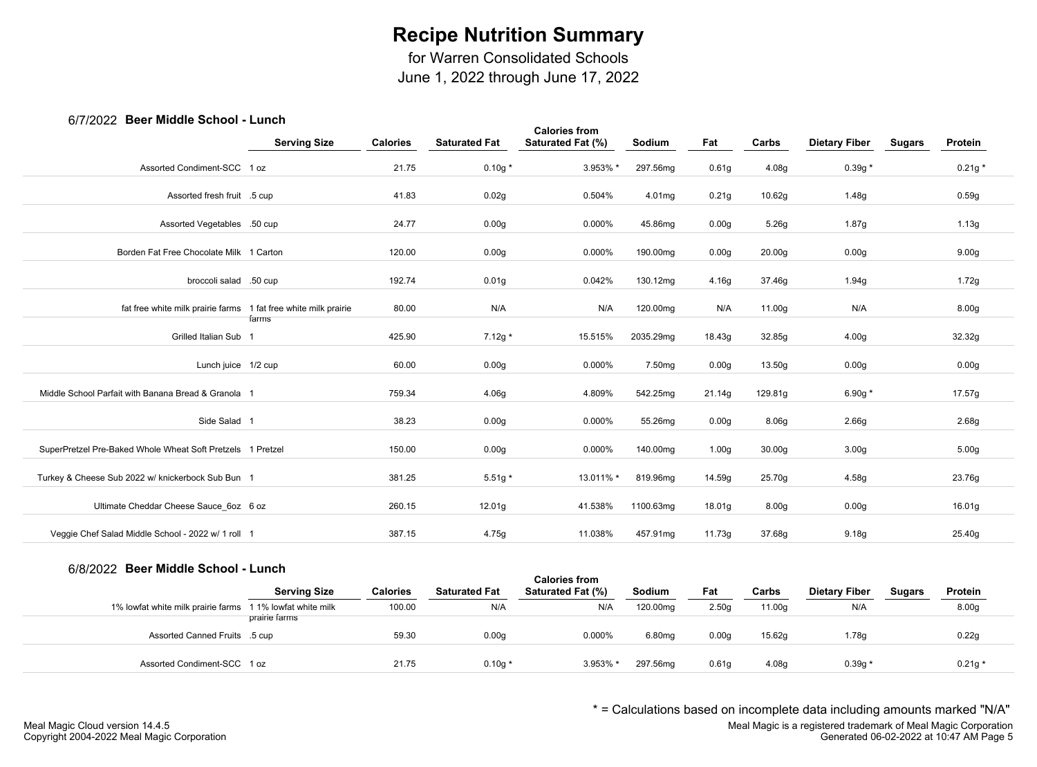for Warren Consolidated Schools

June 1, 2022 through June 17, 2022

## 6/7/2022 **Beer Middle School - Lunch**

|                                                                 | <b>Serving Size</b> | <b>Calories</b> | <b>Saturated Fat</b> | <b>Calories from</b><br>Saturated Fat (%) | Sodium    | Fat               | Carbs              | <b>Dietary Fiber</b> | <b>Sugars</b> | Protein           |  |
|-----------------------------------------------------------------|---------------------|-----------------|----------------------|-------------------------------------------|-----------|-------------------|--------------------|----------------------|---------------|-------------------|--|
| Assorted Condiment-SCC 1 oz                                     |                     | 21.75           | $0.10g*$             | 3.953% *                                  | 297.56mg  | 0.61 <sub>g</sub> | 4.08g              | $0.39g *$            |               | $0.21g*$          |  |
| Assorted fresh fruit .5 cup                                     |                     | 41.83           | 0.02g                | 0.504%                                    | 4.01mg    | 0.21g             | 10.62g             | 1.48g                |               | 0.59g             |  |
| Assorted Vegetables .50 cup                                     |                     | 24.77           | 0.00 <sub>g</sub>    | 0.000%                                    | 45.86mg   | 0.00 <sub>g</sub> | 5.26g              | 1.87g                |               | 1.13g             |  |
| Borden Fat Free Chocolate Milk 1 Carton                         |                     | 120.00          | 0.00 <sub>g</sub>    | 0.000%                                    | 190.00mg  | 0.00 <sub>g</sub> | 20.00 <sub>g</sub> | 0.00 <sub>g</sub>    |               | 9.00 <sub>g</sub> |  |
| broccoli salad .50 cup                                          |                     | 192.74          | 0.01 <sub>g</sub>    | 0.042%                                    | 130.12mg  | 4.16g             | 37.46g             | 1.94g                |               | 1.72g             |  |
| fat free white milk prairie farms 1 fat free white milk prairie | farms               | 80.00           | N/A                  | N/A                                       | 120.00mg  | N/A               | 11.00g             | N/A                  |               | 8.00g             |  |
| Grilled Italian Sub 1                                           |                     | 425.90          | $7.12g*$             | 15.515%                                   | 2035.29mg | 18.43g            | 32.85g             | 4.00 <sub>g</sub>    |               | 32.32g            |  |
| Lunch juice 1/2 cup                                             |                     | 60.00           | 0.00 <sub>g</sub>    | 0.000%                                    | 7.50mg    | 0.00 <sub>g</sub> | 13.50g             | 0.00 <sub>g</sub>    |               | 0.00 <sub>g</sub> |  |
| Middle School Parfait with Banana Bread & Granola 1             |                     | 759.34          | 4.06g                | 4.809%                                    | 542.25mg  | 21.14g            | 129.81g            | 6.90g $*$            |               | 17.57g            |  |
| Side Salad 1                                                    |                     | 38.23           | 0.00 <sub>g</sub>    | 0.000%                                    | 55.26mg   | 0.00 <sub>g</sub> | 8.06g              | 2.66 <sub>g</sub>    |               | 2.68g             |  |
| SuperPretzel Pre-Baked Whole Wheat Soft Pretzels 1 Pretzel      |                     | 150.00          | 0.00 <sub>g</sub>    | 0.000%                                    | 140.00mg  | 1.00 <sub>g</sub> | 30.00 <sub>g</sub> | 3.00 <sub>g</sub>    |               | 5.00 <sub>g</sub> |  |
| Turkey & Cheese Sub 2022 w/ knickerbock Sub Bun 1               |                     | 381.25          | $5.51g*$             | 13.011% *                                 | 819.96mg  | 14.59g            | 25.70g             | 4.58g                |               | 23.76g            |  |
| Ultimate Cheddar Cheese Sauce 6oz 6 oz                          |                     | 260.15          | 12.01 <sub>g</sub>   | 41.538%                                   | 1100.63mg | 18.01g            | 8.00 <sub>g</sub>  | 0.00 <sub>g</sub>    |               | 16.01g            |  |
| Veggie Chef Salad Middle School - 2022 w/ 1 roll 1              |                     | 387.15          | 4.75g                | 11.038%                                   | 457.91mg  | 11.73g            | 37.68g             | 9.18 <sub>g</sub>    |               | 25.40g            |  |
|                                                                 |                     |                 |                      |                                           |           |                   |                    |                      |               |                   |  |

#### 6/8/2022 **Beer Middle School - Lunch**

| <i>UNILULL D</i> eel Middle Ochool - Lunch                |                     |                 |                      | <b>Calories from</b>     |          |                   |        |                      |               |          |  |
|-----------------------------------------------------------|---------------------|-----------------|----------------------|--------------------------|----------|-------------------|--------|----------------------|---------------|----------|--|
|                                                           | <b>Serving Size</b> | <b>Calories</b> | <b>Saturated Fat</b> | <b>Saturated Fat (%)</b> | Sodium   | Fat               | Carbs  | <b>Dietary Fiber</b> | <b>Sugars</b> | Protein  |  |
| 1% lowfat white milk prairie farms 1 1% lowfat white milk |                     | 100.00          | N/A                  | N/A                      | 120.00mg | 2.50q             | 11.00g | N/A                  |               | 8.00g    |  |
|                                                           | prairie farms       |                 |                      |                          |          |                   |        |                      |               |          |  |
| Assorted Canned Fruits .5 cup                             |                     | 59.30           | 0.00 <sub>g</sub>    | 0.000%                   | 6.80mg   | 0.00q             | 15.62g | 1.78g                |               | 0.22g    |  |
|                                                           |                     |                 |                      |                          |          |                   |        |                      |               |          |  |
| Assorted Condiment-SCC 1 oz                               |                     | 21.75           | $0.10g*$             | 3.953% *                 | 297.56mg | 0.61 <sub>g</sub> | 4.08g  | $0.39g*$             |               | $0.21g*$ |  |

\* = Calculations based on incomplete data including amounts marked "N/A"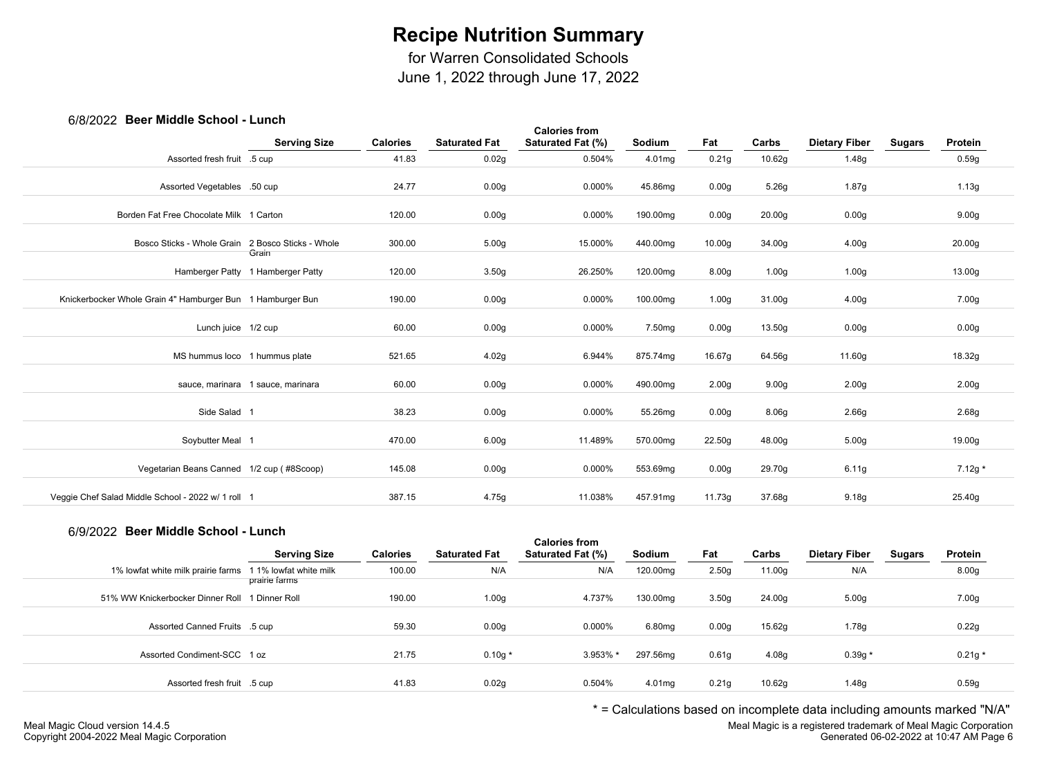for Warren Consolidated Schools

June 1, 2022 through June 17, 2022

## 6/8/2022 **Beer Middle School - Lunch**

| <b>POUL INIQUID OUILOUI</b>                                |                                   |                 |                      |                                           |          |                    |                    |                      |               |                    |
|------------------------------------------------------------|-----------------------------------|-----------------|----------------------|-------------------------------------------|----------|--------------------|--------------------|----------------------|---------------|--------------------|
|                                                            | <b>Serving Size</b>               | <b>Calories</b> | <b>Saturated Fat</b> | <b>Calories from</b><br>Saturated Fat (%) | Sodium   | Fat                | Carbs              | <b>Dietary Fiber</b> | <b>Sugars</b> | Protein            |
| Assorted fresh fruit .5 cup                                |                                   | 41.83           | 0.02g                | 0.504%                                    | 4.01mg   | 0.21g              | 10.62g             | 1.48g                |               | 0.59g              |
| Assorted Vegetables .50 cup                                |                                   | 24.77           | 0.00 <sub>g</sub>    | $0.000\%$                                 | 45.86mg  | 0.00 <sub>g</sub>  | 5.26g              | 1.87g                |               | 1.13g              |
| Borden Fat Free Chocolate Milk 1 Carton                    |                                   | 120.00          | 0.00 <sub>g</sub>    | 0.000%                                    | 190.00mg | 0.00 <sub>g</sub>  | 20.00 <sub>g</sub> | 0.00 <sub>g</sub>    |               | 9.00 <sub>g</sub>  |
| Bosco Sticks - Whole Grain 2 Bosco Sticks - Whole          | Grain                             | 300.00          | 5.00 <sub>g</sub>    | 15.000%                                   | 440.00mg | 10.00 <sub>g</sub> | 34.00g             | 4.00 <sub>g</sub>    |               | 20.00 <sub>g</sub> |
|                                                            | Hamberger Patty 1 Hamberger Patty | 120.00          | 3.50 <sub>g</sub>    | 26.250%                                   | 120.00mg | 8.00 <sub>g</sub>  | 1.00 <sub>g</sub>  | 1.00 <sub>g</sub>    |               | 13.00g             |
| Knickerbocker Whole Grain 4" Hamburger Bun 1 Hamburger Bun |                                   | 190.00          | 0.00g                | 0.000%                                    | 100.00mg | 1.00g              | 31.00g             | 4.00 <sub>g</sub>    |               | 7.00g              |
| Lunch juice 1/2 cup                                        |                                   | 60.00           | 0.00 <sub>g</sub>    | 0.000%                                    | 7.50mg   | 0.00 <sub>g</sub>  | 13.50g             | 0.00 <sub>g</sub>    |               | 0.00 <sub>g</sub>  |
| MS hummus loco 1 hummus plate                              |                                   | 521.65          | 4.02g                | 6.944%                                    | 875.74mg | 16.67g             | 64.56g             | 11.60g               |               | 18.32g             |
|                                                            | sauce, marinara 1 sauce, marinara | 60.00           | 0.00 <sub>g</sub>    | 0.000%                                    | 490.00mg | 2.00 <sub>g</sub>  | 9.00 <sub>g</sub>  | 2.00 <sub>g</sub>    |               | 2.00 <sub>g</sub>  |
| Side Salad 1                                               |                                   | 38.23           | 0.00 <sub>g</sub>    | 0.000%                                    | 55.26mg  | 0.00 <sub>g</sub>  | 8.06g              | 2.66g                |               | 2.68g              |
| Soybutter Meal 1                                           |                                   | 470.00          | 6.00 <sub>g</sub>    | 11.489%                                   | 570.00mg | 22.50g             | 48.00g             | 5.00 <sub>g</sub>    |               | 19.00g             |
| Vegetarian Beans Canned 1/2 cup (#8Scoop)                  |                                   | 145.08          | 0.00 <sub>g</sub>    | 0.000%                                    | 553.69mg | 0.00 <sub>g</sub>  | 29.70g             | 6.11g                |               | 7.12g *            |
| Veggie Chef Salad Middle School - 2022 w/ 1 roll 1         |                                   | 387.15          | 4.75g                | 11.038%                                   | 457.91mg | 11.73g             | 37.68g             | 9.18 <sub>g</sub>    |               | 25.40g             |
|                                                            |                                   |                 |                      |                                           |          |                    |                    |                      |               |                    |

## 6/9/2022 **Beer Middle School - Lunch**

| $O/O/LOLL$ DUGI MIGUIU DUNOOI – EUNON |                        |                 |                      | <b>Calories from</b> |          |                   |        |                      |               |                   |  |
|---------------------------------------|------------------------|-----------------|----------------------|----------------------|----------|-------------------|--------|----------------------|---------------|-------------------|--|
|                                       | <b>Serving Size</b>    | <b>Calories</b> | <b>Saturated Fat</b> | Saturated Fat (%)    | Sodium   | Fat               | Carbs  | <b>Dietary Fiber</b> | <b>Sugars</b> | Protein           |  |
| 1% lowfat white milk prairie farms    | 1 1% lowfat white milk | 100.00          | N/A                  | N/A                  | 120.00mg | 2.50 <sub>q</sub> | 11.00g | N/A                  |               | 8.00 <sub>g</sub> |  |
|                                       | prairie farms          |                 |                      |                      |          |                   |        |                      |               |                   |  |
| 51% WW Knickerbocker Dinner Roll      | 1 Dinner Roll          | 190.00          | 1.00 <sub>g</sub>    | 4.737%               | 130.00mg | 3.50 <sub>g</sub> | 24.00g | 5.00 <sub>g</sub>    |               | 7.00g             |  |
|                                       |                        |                 |                      |                      |          |                   |        |                      |               |                   |  |
| Assorted Canned Fruits .5 cup         |                        | 59.30           | 0.00 <sub>g</sub>    | 0.000%               | 6.80mg   | 0.00 <sub>g</sub> | 15.62g | 1.78g                |               | 0.22g             |  |
|                                       |                        |                 |                      |                      |          |                   |        |                      |               |                   |  |
| Assorted Condiment-SCC 1 oz           |                        | 21.75           | $0.10g*$             | 3.953% *             | 297.56mg | 0.61 <sub>g</sub> | 4.08g  | $0.39g *$            |               | $0.21g *$         |  |
|                                       |                        |                 |                      |                      |          |                   |        |                      |               |                   |  |
| Assorted fresh fruit .5 cup           |                        | 41.83           | 0.02g                | 0.504%               | 4.01mg   | 0.21q             | 10.62g | 1.48g                |               | 0.59g             |  |

\* = Calculations based on incomplete data including amounts marked "N/A"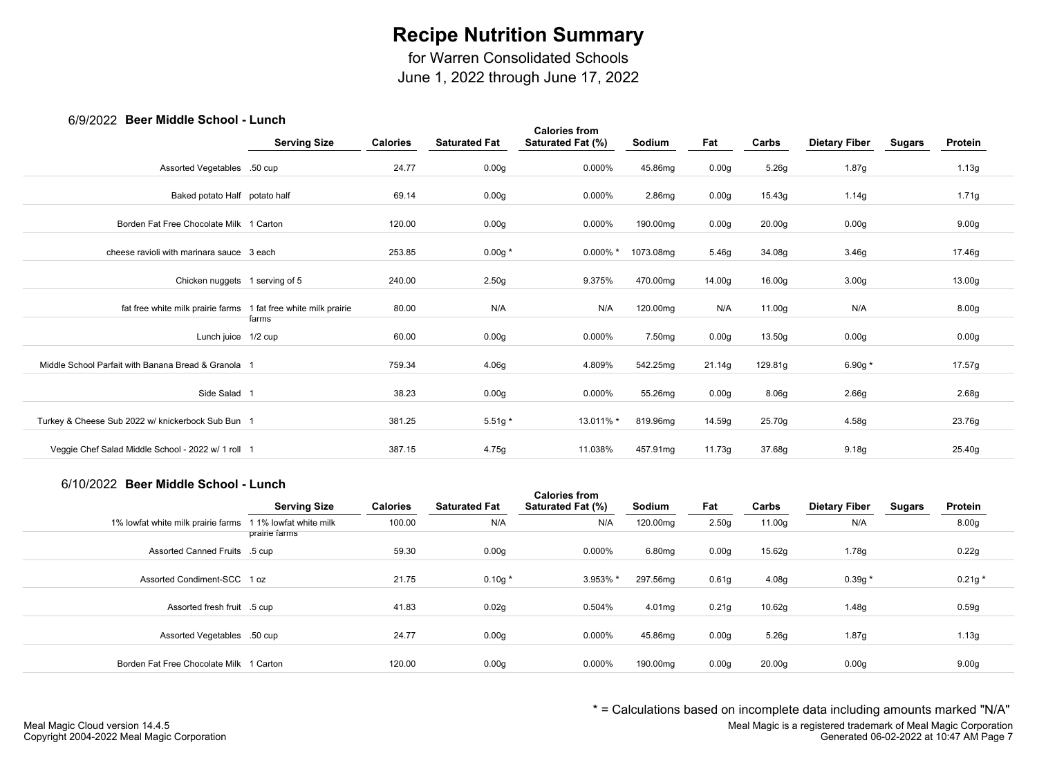for Warren Consolidated Schools

June 1, 2022 through June 17, 2022

### 6/9/2022 **Beer Middle School - Lunch**

| <b>PUSH INIMAIO OUTION</b>                          | -----                         |                 |                      |                                           |                    |                   |                    |                      |               |                   |  |
|-----------------------------------------------------|-------------------------------|-----------------|----------------------|-------------------------------------------|--------------------|-------------------|--------------------|----------------------|---------------|-------------------|--|
|                                                     | <b>Serving Size</b>           | <b>Calories</b> | <b>Saturated Fat</b> | <b>Calories from</b><br>Saturated Fat (%) | Sodium             | Fat               | Carbs              | <b>Dietary Fiber</b> | <b>Sugars</b> | Protein           |  |
| Assorted Vegetables .50 cup                         |                               | 24.77           | 0.00g                | 0.000%                                    | 45.86mg            | 0.00 <sub>g</sub> | 5.26g              | 1.87g                |               | 1.13g             |  |
| Baked potato Half potato half                       |                               | 69.14           | 0.00 <sub>g</sub>    | 0.000%                                    | 2.86mg             | 0.00 <sub>g</sub> | 15.43g             | 1.14g                |               | 1.71g             |  |
| Borden Fat Free Chocolate Milk 1 Carton             |                               | 120.00          | 0.00g                | 0.000%                                    | 190.00mg           | 0.00 <sub>g</sub> | 20.00 <sub>g</sub> | 0.00 <sub>g</sub>    |               | 9.00 <sub>g</sub> |  |
| cheese ravioli with marinara sauce 3 each           |                               | 253.85          | $0.00g *$            | $0.000\%$ *                               | 1073.08mg          | 5.46g             | 34.08g             | 3.46g                |               | 17.46g            |  |
| Chicken nuggets 1 serving of 5                      |                               | 240.00          | 2.50g                | 9.375%                                    | 470.00mg           | 14.00g            | 16.00g             | 3.00 <sub>g</sub>    |               | 13.00g            |  |
| fat free white milk prairie farms                   | 1 fat free white milk prairie | 80.00           | N/A                  | N/A                                       | 120.00mg           | N/A               | 11.00g             | N/A                  |               | 8.00g             |  |
| Lunch juice 1/2 cup                                 | farms                         | 60.00           | 0.00g                | 0.000%                                    | 7.50 <sub>mg</sub> | 0.00 <sub>g</sub> | 13.50g             | 0.00 <sub>g</sub>    |               | 0.00g             |  |
| Middle School Parfait with Banana Bread & Granola 1 |                               | 759.34          | 4.06g                | 4.809%                                    | 542.25mg           | 21.14g            | 129.81g            | 6.90g $*$            |               | 17.57g            |  |
| Side Salad 1                                        |                               | 38.23           | 0.00g                | 0.000%                                    | 55.26mg            | 0.00 <sub>g</sub> | 8.06g              | 2.66g                |               | 2.68g             |  |
| Turkey & Cheese Sub 2022 w/ knickerbock Sub Bun 1   |                               | 381.25          | $5.51g*$             | 13.011% *                                 | 819.96mg           | 14.59g            | 25.70g             | 4.58g                |               | 23.76g            |  |
| Veggie Chef Salad Middle School - 2022 w/ 1 roll 1  |                               | 387.15          | 4.75g                | 11.038%                                   | 457.91mg           | 11.73g            | 37.68g             | 9.18g                |               | 25.40g            |  |
|                                                     |                               |                 |                      |                                           |                    |                   |                    |                      |               |                   |  |

#### 6/10/2022 **Beer Middle School - Lunch**

|                                         | <b>Serving Size</b>                     | <b>Calories</b> | <b>Saturated Fat</b> | <b>Calories from</b><br><b>Saturated Fat (%)</b> | Sodium   | Fat               | Carbs              | <b>Dietary Fiber</b> | <b>Sugars</b> | Protein           |
|-----------------------------------------|-----------------------------------------|-----------------|----------------------|--------------------------------------------------|----------|-------------------|--------------------|----------------------|---------------|-------------------|
| 1% lowfat white milk prairie farms      | 1 1% lowfat white milk<br>prairie farms | 100.00          | N/A                  | N/A                                              | 120.00mg | 2.50 <sub>g</sub> | 11.00g             | N/A                  |               | 8.00 <sub>g</sub> |
| Assorted Canned Fruits .5 cup           |                                         | 59.30           | 0.00 <sub>g</sub>    | 0.000%                                           | 6.80mg   | 0.00 <sub>g</sub> | 15.62g             | 1.78g                |               | 0.22g             |
| Assorted Condiment-SCC 1 oz             |                                         | 21.75           | $0.10g *$            | 3.953% *                                         | 297.56mg | 0.61 <sub>g</sub> | 4.08g              | $0.39g *$            |               | $0.21g *$         |
| Assorted fresh fruit .5 cup             |                                         | 41.83           | 0.02g                | 0.504%                                           | 4.01mg   | 0.21 <sub>g</sub> | 10.62g             | 1.48g                |               | 0.59g             |
| Assorted Vegetables .50 cup             |                                         | 24.77           | 0.00 <sub>g</sub>    | 0.000%                                           | 45.86mg  | 0.00 <sub>g</sub> | 5.26g              | 1.87g                |               | 1.13g             |
| Borden Fat Free Chocolate Milk 1 Carton |                                         | 120.00          | 0.00g                | 0.000%                                           | 190.00mg | 0.00 <sub>g</sub> | 20.00 <sub>g</sub> | 0.00 <sub>g</sub>    |               | 9.00 <sub>g</sub> |

\* = Calculations based on incomplete data including amounts marked "N/A"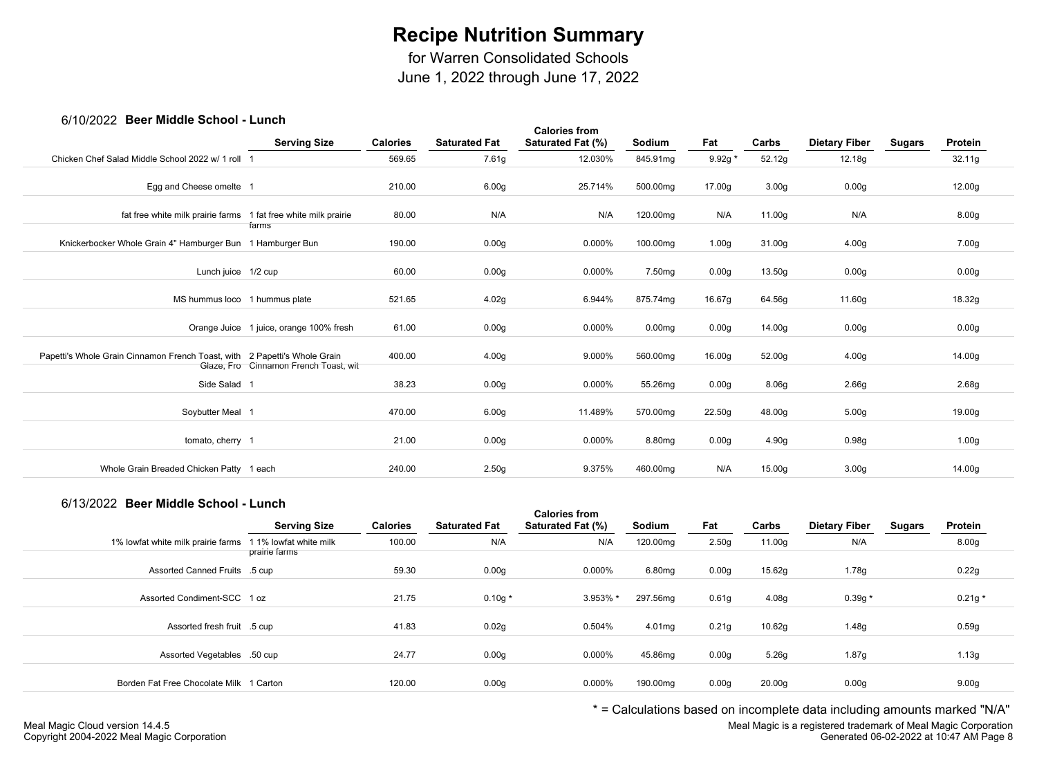for Warren Consolidated Schools

June 1, 2022 through June 17, 2022

### 6/10/2022 **Beer Middle School - Lunch**

| 00 I UN LULL DUUI INIUUIU OUIIUUI                                         | -----                                   |                 |                      |                                           |                    |                    |                   |                      |               |                   |  |
|---------------------------------------------------------------------------|-----------------------------------------|-----------------|----------------------|-------------------------------------------|--------------------|--------------------|-------------------|----------------------|---------------|-------------------|--|
|                                                                           | <b>Serving Size</b>                     | <b>Calories</b> | <b>Saturated Fat</b> | <b>Calories from</b><br>Saturated Fat (%) | Sodium             | Fat                | Carbs             | <b>Dietary Fiber</b> | <b>Sugars</b> | Protein           |  |
| Chicken Chef Salad Middle School 2022 w/ 1 roll 1                         |                                         | 569.65          | 7.61g                | 12.030%                                   | 845.91mg           | $9.92g *$          | 52.12g            | 12.18g               |               | 32.11g            |  |
|                                                                           |                                         |                 |                      |                                           |                    |                    |                   |                      |               |                   |  |
| Egg and Cheese omelte 1                                                   |                                         | 210.00          | 6.00g                | 25.714%                                   | 500.00mg           | 17.00g             | 3.00 <sub>g</sub> | 0.00 <sub>g</sub>    |               | 12.00g            |  |
| fat free white milk prairie farms 1 fat free white milk prairie           |                                         | 80.00           | N/A                  | N/A                                       | 120.00mg           | N/A                | 11.00g            | N/A                  |               | 8.00 <sub>g</sub> |  |
| Knickerbocker Whole Grain 4" Hamburger Bun 1 Hamburger Bun                | farms                                   | 190.00          | 0.00 <sub>g</sub>    | 0.000%                                    | 100.00mg           | 1.00 <sub>g</sub>  | 31.00g            | 4.00g                |               | 7.00g             |  |
| Lunch juice 1/2 cup                                                       |                                         | 60.00           | 0.00 <sub>g</sub>    | 0.000%                                    | 7.50 <sub>mg</sub> | 0.00g              | 13.50g            | 0.00 <sub>g</sub>    |               | 0.00g             |  |
| MS hummus loco 1 hummus plate                                             |                                         | 521.65          | 4.02g                | 6.944%                                    | 875.74mg           | 16.67g             | 64.56g            | 11.60g               |               | 18.32g            |  |
|                                                                           | Orange Juice 1 juice, orange 100% fresh | 61.00           | 0.00g                | $0.000\%$                                 | 0.00 <sub>mg</sub> | 0.00g              | 14.00g            | 0.00 <sub>g</sub>    |               | 0.00g             |  |
| Papetti's Whole Grain Cinnamon French Toast, with 2 Papetti's Whole Grain | Glaze, Fro Cinnamon French Toast, wit   | 400.00          | 4.00g                | 9.000%                                    | 560.00mg           | 16.00 <sub>g</sub> | 52.00g            | 4.00 <sub>g</sub>    |               | 14.00g            |  |
| Side Salad 1                                                              |                                         | 38.23           | 0.00 <sub>g</sub>    | 0.000%                                    | 55.26mg            | 0.00g              | 8.06g             | 2.66g                |               | 2.68g             |  |
| Soybutter Meal 1                                                          |                                         | 470.00          | 6.00g                | 11.489%                                   | 570.00mg           | 22.50g             | 48.00g            | 5.00 <sub>g</sub>    |               | 19.00g            |  |
| tomato, cherry 1                                                          |                                         | 21.00           | 0.00g                | 0.000%                                    | 8.80mg             | 0.00g              | 4.90g             | 0.98g                |               | 1.00 <sub>g</sub> |  |
| Whole Grain Breaded Chicken Patty 1 each                                  |                                         | 240.00          | 2.50 <sub>g</sub>    | 9.375%                                    | 460.00mg           | N/A                | 15.00g            | 3.00 <sub>g</sub>    |               | 14.00g            |  |

### 6/13/2022 **Beer Middle School - Lunch**

|                                         | <b>Serving Size</b>                     | <b>Calories</b> | <b>Saturated Fat</b> | <b>Calories from</b><br>Saturated Fat (%) | Sodium   | Fat               | Carbs              | <b>Dietary Fiber</b> | Sugars | Protein           |  |
|-----------------------------------------|-----------------------------------------|-----------------|----------------------|-------------------------------------------|----------|-------------------|--------------------|----------------------|--------|-------------------|--|
| 1% lowfat white milk prairie farms      | 1 1% lowfat white milk<br>prairie farms | 100.00          | N/A                  | N/A                                       | 120.00mg | 2.50 <sub>g</sub> | 11.00g             | N/A                  |        | 8.00 <sub>g</sub> |  |
| Assorted Canned Fruits .5 cup           |                                         | 59.30           | 0.00 <sub>g</sub>    | 0.000%                                    | 6.80mg   | 0.00 <sub>g</sub> | 15.62g             | 1.78g                |        | 0.22g             |  |
| Assorted Condiment-SCC 1 oz             |                                         | 21.75           | $0.10g*$             | 3.953% *                                  | 297.56mg | 0.61 <sub>g</sub> | 4.08 <sub>g</sub>  | $0.39g *$            |        | $0.21g *$         |  |
| Assorted fresh fruit .5 cup             |                                         | 41.83           | 0.02g                | 0.504%                                    | 4.01mg   | 0.21g             | 10.62g             | 1.48g                |        | 0.59g             |  |
| Assorted Vegetables .50 cup             |                                         | 24.77           | 0.00 <sub>g</sub>    | $0.000\%$                                 | 45.86mg  | 0.00 <sub>g</sub> | 5.26g              | 1.87g                |        | 1.13g             |  |
| Borden Fat Free Chocolate Milk 1 Carton |                                         | 120.00          | 0.00 <sub>g</sub>    | 0.000%                                    | 190.00mg | 0.00 <sub>g</sub> | 20.00 <sub>g</sub> | 0.00 <sub>g</sub>    |        | 9.00 <sub>g</sub> |  |

\* = Calculations based on incomplete data including amounts marked "N/A"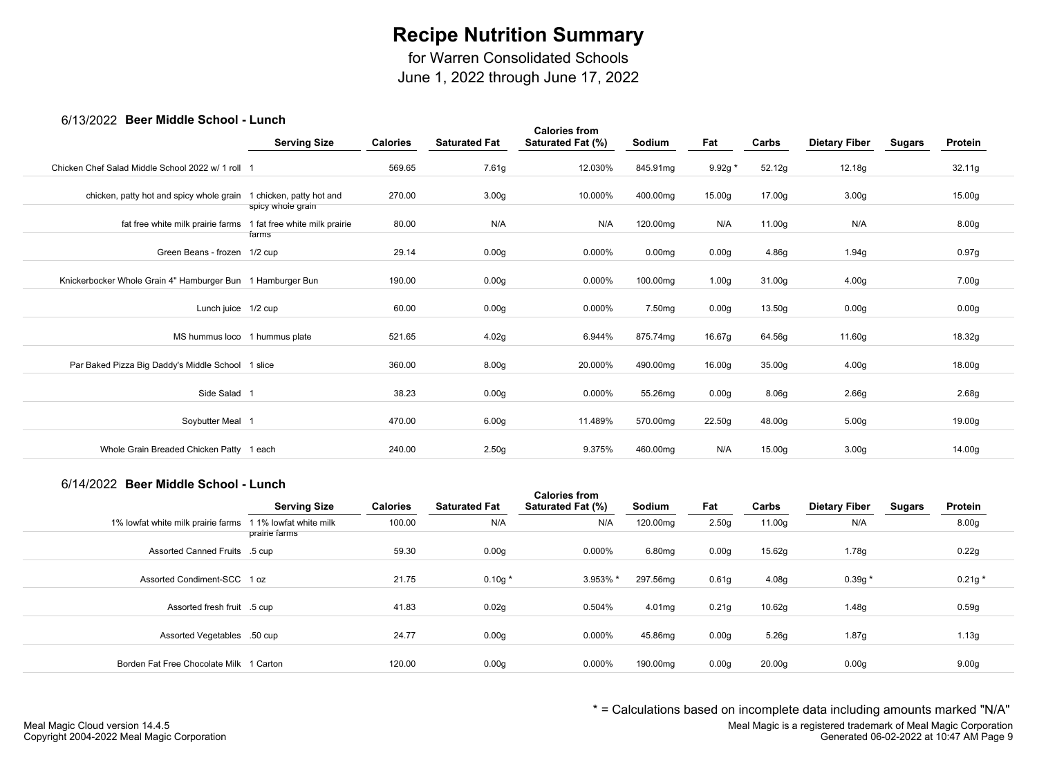for Warren Consolidated Schools

June 1, 2022 through June 17, 2022

### 6/13/2022 **Beer Middle School - Lunch**

| <b><i>UITULED DUGT MIDDIG OUTPUT</i></b>                   |                                               |                 |                      |                                           |                    |                    |        |                      |               |                   |  |
|------------------------------------------------------------|-----------------------------------------------|-----------------|----------------------|-------------------------------------------|--------------------|--------------------|--------|----------------------|---------------|-------------------|--|
|                                                            | <b>Serving Size</b>                           | <b>Calories</b> | <b>Saturated Fat</b> | <b>Calories from</b><br>Saturated Fat (%) | Sodium             | Fat                | Carbs  | <b>Dietary Fiber</b> | <b>Sugars</b> | Protein           |  |
| Chicken Chef Salad Middle School 2022 w/ 1 roll 1          |                                               | 569.65          | 7.61g                | 12.030%                                   | 845.91mg           | $9.92g *$          | 52.12g | 12.18g               |               | 32.11g            |  |
| chicken, patty hot and spicy whole grain                   | 1 chicken, patty hot and<br>spicy whole grain | 270.00          | 3.00 <sub>g</sub>    | 10.000%                                   | 400.00mg           | 15.00 <sub>g</sub> | 17.00g | 3.00 <sub>g</sub>    |               | 15.00g            |  |
| fat free white milk prairie farms                          | 1 fat free white milk prairie<br>farms        | 80.00           | N/A                  | N/A                                       | 120.00mg           | N/A                | 11.00g | N/A                  |               | 8.00 <sub>g</sub> |  |
| Green Beans - frozen 1/2 cup                               |                                               | 29.14           | 0.00 <sub>g</sub>    | 0.000%                                    | 0.00 <sub>mg</sub> | 0.00 <sub>g</sub>  | 4.86g  | 1.94g                |               | 0.97g             |  |
| Knickerbocker Whole Grain 4" Hamburger Bun 1 Hamburger Bun |                                               | 190.00          | 0.00 <sub>g</sub>    | 0.000%                                    | 100.00mg           | 1.00 <sub>g</sub>  | 31.00g | 4.00 <sub>g</sub>    |               | 7.00g             |  |
| Lunch juice 1/2 cup                                        |                                               | 60.00           | 0.00g                | 0.000%                                    | 7.50 <sub>mg</sub> | 0.00 <sub>g</sub>  | 13.50g | 0.00g                |               | 0.00g             |  |
| MS hummus loco 1 hummus plate                              |                                               | 521.65          | 4.02g                | 6.944%                                    | 875.74mg           | 16.67g             | 64.56g | 11.60g               |               | 18.32g            |  |
| Par Baked Pizza Big Daddy's Middle School 1 slice          |                                               | 360.00          | 8.00 <sub>g</sub>    | 20.000%                                   | 490.00mg           | 16.00 <sub>g</sub> | 35.00g | 4.00 <sub>g</sub>    |               | 18.00g            |  |
| Side Salad 1                                               |                                               | 38.23           | 0.00 <sub>g</sub>    | $0.000\%$                                 | 55.26mg            | 0.00 <sub>g</sub>  | 8.06g  | 2.66g                |               | 2.68g             |  |
| Soybutter Meal 1                                           |                                               | 470.00          | 6.00 <sub>g</sub>    | 11.489%                                   | 570.00mg           | 22.50g             | 48.00g | 5.00 <sub>g</sub>    |               | 19.00g            |  |
| Whole Grain Breaded Chicken Patty 1 each                   |                                               | 240.00          | 2.50g                | 9.375%                                    | 460.00mg           | N/A                | 15.00g | 3.00 <sub>g</sub>    |               | 14.00g            |  |
|                                                            |                                               |                 |                      |                                           |                    |                    |        |                      |               |                   |  |

#### 6/14/2022 **Beer Middle School - Lunch**

|                                         | <b>Serving Size</b>                     | <b>Calories</b> | <b>Saturated Fat</b> | <b>Calories from</b><br>Saturated Fat (%) | Sodium   | Fat               | Carbs              | <b>Dietary Fiber</b> | Sugars | Protein           |
|-----------------------------------------|-----------------------------------------|-----------------|----------------------|-------------------------------------------|----------|-------------------|--------------------|----------------------|--------|-------------------|
| 1% lowfat white milk prairie farms      | 1 1% lowfat white milk<br>prairie farms | 100.00          | N/A                  | N/A                                       | 120.00mg | 2.50 <sub>g</sub> | 11.00g             | N/A                  |        | 8.00 <sub>g</sub> |
| Assorted Canned Fruits .5 cup           |                                         | 59.30           | 0.00 <sub>g</sub>    | 0.000%                                    | 6.80mg   | 0.00 <sub>g</sub> | 15.62g             | 1.78g                |        | 0.22g             |
| Assorted Condiment-SCC 1 oz             |                                         | 21.75           | $0.10g*$             | 3.953% *                                  | 297.56mg | 0.61 <sub>g</sub> | 4.08 <sub>g</sub>  | $0.39g *$            |        | $0.21g *$         |
| Assorted fresh fruit .5 cup             |                                         | 41.83           | 0.02g                | 0.504%                                    | 4.01mg   | 0.21g             | 10.62g             | 1.48g                |        | 0.59g             |
| Assorted Vegetables .50 cup             |                                         | 24.77           | 0.00 <sub>g</sub>    | 0.000%                                    | 45.86mg  | 0.00 <sub>g</sub> | 5.26g              | 1.87g                |        | 1.13g             |
| Borden Fat Free Chocolate Milk 1 Carton |                                         | 120.00          | 0.00 <sub>g</sub>    | 0.000%                                    | 190.00mg | 0.00 <sub>g</sub> | 20.00 <sub>g</sub> | 0.00 <sub>g</sub>    |        | 9.00 <sub>g</sub> |

\* = Calculations based on incomplete data including amounts marked "N/A"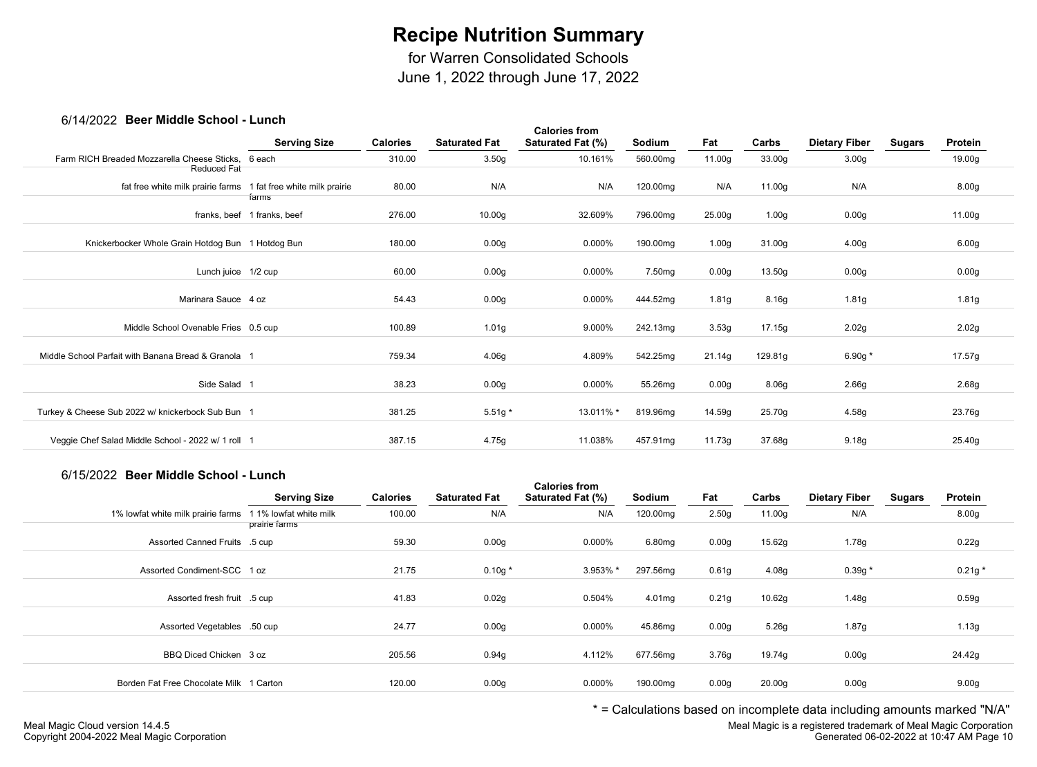for Warren Consolidated Schools

June 1, 2022 through June 17, 2022

### 6/14/2022 **Beer Middle School - Lunch**

| <b>POUL INIQUID OUILOUI</b>                         | ------                                 |                 |                      |                                           |               |                   |                   |                      |               |                   |
|-----------------------------------------------------|----------------------------------------|-----------------|----------------------|-------------------------------------------|---------------|-------------------|-------------------|----------------------|---------------|-------------------|
|                                                     | <b>Serving Size</b>                    | <b>Calories</b> | <b>Saturated Fat</b> | <b>Calories from</b><br>Saturated Fat (%) | <b>Sodium</b> | Fat               | Carbs             | <b>Dietary Fiber</b> | <b>Sugars</b> | Protein           |
| Farm RICH Breaded Mozzarella Cheese Sticks.         | 6 each                                 | 310.00          | 3.50g                | 10.161%                                   | 560.00mg      | 11.00g            | 33.00g            | 3.00 <sub>g</sub>    |               | 19.00g            |
| Reduced Fat                                         |                                        |                 |                      |                                           |               |                   |                   |                      |               |                   |
| fat free white milk prairie farms                   | 1 fat free white milk prairie<br>farms | 80.00           | N/A                  | N/A                                       | 120.00mg      | N/A               | 11.00g            | N/A                  |               | 8.00 <sub>g</sub> |
|                                                     | franks, beef 1 franks, beef            | 276.00          | 10.00g               | 32.609%                                   | 796.00mg      | 25.00g            | 1.00 <sub>g</sub> | 0.00 <sub>g</sub>    |               | 11.00g            |
| Knickerbocker Whole Grain Hotdog Bun 1 Hotdog Bun   |                                        | 180.00          | 0.00 <sub>g</sub>    | 0.000%                                    | 190.00mg      | 1.00 <sub>g</sub> | 31.00g            | 4.00 <sub>g</sub>    |               | 6.00 <sub>g</sub> |
| Lunch juice 1/2 cup                                 |                                        | 60.00           | 0.00 <sub>g</sub>    | 0.000%                                    | 7.50mg        | 0.00g             | 13.50g            | 0.00 <sub>g</sub>    |               | 0.00 <sub>g</sub> |
| Marinara Sauce 4 oz                                 |                                        | 54.43           | 0.00g                | 0.000%                                    | 444.52mg      | 1.81g             | 8.16g             | 1.81g                |               | 1.81g             |
| Middle School Ovenable Fries 0.5 cup                |                                        | 100.89          | 1.01g                | 9.000%                                    | 242.13mg      | 3.53g             | 17.15g            | 2.02g                |               | 2.02g             |
| Middle School Parfait with Banana Bread & Granola 1 |                                        | 759.34          | 4.06g                | 4.809%                                    | 542.25mg      | 21.14g            | 129.81g           | 6.90g $*$            |               | 17.57g            |
| Side Salad 1                                        |                                        | 38.23           | 0.00g                | 0.000%                                    | 55.26mg       | 0.00g             | 8.06g             | 2.66g                |               | 2.68g             |
| Turkey & Cheese Sub 2022 w/ knickerbock Sub Bun 1   |                                        | 381.25          | $5.51g*$             | 13.011% *                                 | 819.96mg      | 14.59g            | 25.70g            | 4.58g                |               | 23.76g            |
| Veggie Chef Salad Middle School - 2022 w/ 1 roll 1  |                                        | 387.15          | 4.75g                | 11.038%                                   | 457.91mg      | 11.73g            | 37.68g            | 9.18 <sub>g</sub>    |               | 25.40g            |
|                                                     |                                        |                 |                      |                                           |               |                   |                   |                      |               |                   |

## 6/15/2022 **Beer Middle School - Lunch**

|                                         | <b>Serving Size</b>                     | <b>Calories</b> | <b>Saturated Fat</b> | <b>Calories from</b><br><b>Saturated Fat (%)</b> | Sodium   | Fat               | Carbs              | <b>Dietary Fiber</b> | <b>Sugars</b> | Protein           |  |
|-----------------------------------------|-----------------------------------------|-----------------|----------------------|--------------------------------------------------|----------|-------------------|--------------------|----------------------|---------------|-------------------|--|
| 1% lowfat white milk prairie farms      | 1 1% lowfat white milk<br>prairie farms | 100.00          | N/A                  | N/A                                              | 120.00mg | 2.50 <sub>g</sub> | 11.00g             | N/A                  |               | 8.00 <sub>g</sub> |  |
| Assorted Canned Fruits .5 cup           |                                         | 59.30           | 0.00 <sub>g</sub>    | 0.000%                                           | 6.80mg   | 0.00 <sub>g</sub> | 15.62g             | 1.78g                |               | 0.22g             |  |
| Assorted Condiment-SCC 1 oz             |                                         | 21.75           | $0.10g *$            | 3.953% *                                         | 297.56mg | 0.61 <sub>g</sub> | 4.08g              | $0.39g *$            |               | $0.21g *$         |  |
| Assorted fresh fruit .5 cup             |                                         | 41.83           | 0.02g                | 0.504%                                           | 4.01mg   | 0.21 <sub>g</sub> | 10.62g             | 1.48g                |               | 0.59g             |  |
| Assorted Vegetables .50 cup             |                                         | 24.77           | 0.00 <sub>g</sub>    | 0.000%                                           | 45.86mg  | 0.00 <sub>g</sub> | 5.26g              | 1.87g                |               | 1.13g             |  |
| BBQ Diced Chicken 3 oz                  |                                         | 205.56          | 0.94g                | 4.112%                                           | 677.56mg | 3.76g             | 19.74g             | 0.00 <sub>g</sub>    |               | 24.42g            |  |
| Borden Fat Free Chocolate Milk 1 Carton |                                         | 120.00          | 0.00 <sub>g</sub>    | 0.000%                                           | 190.00mg | 0.00 <sub>g</sub> | 20.00 <sub>g</sub> | 0.00 <sub>g</sub>    |               | 9.00 <sub>g</sub> |  |
|                                         |                                         |                 |                      |                                                  |          |                   |                    |                      |               |                   |  |

\* = Calculations based on incomplete data including amounts marked "N/A"